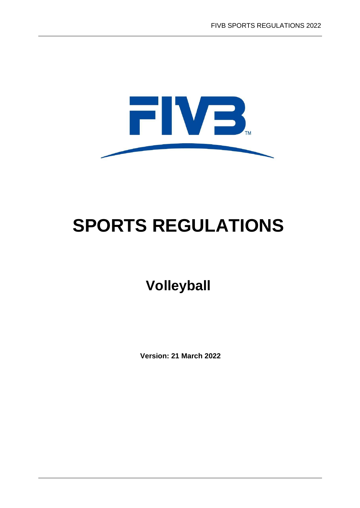

# **SPORTS REGULATIONS**

## **Volleyball**

**Version: 21 March 2022**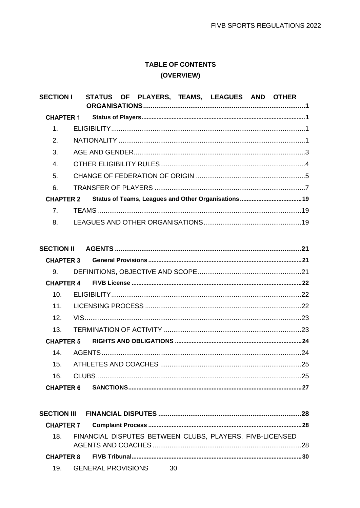## **TABLE OF CONTENTS** (OVERVIEW)

| <b>SECTION I</b>  | OF PLAYERS, TEAMS, LEAGUES AND OTHER<br><b>STATUS</b> |  |  |
|-------------------|-------------------------------------------------------|--|--|
| <b>CHAPTER 1</b>  |                                                       |  |  |
| 1.                |                                                       |  |  |
| 2.                |                                                       |  |  |
| 3.                |                                                       |  |  |
| $\overline{4}$ .  |                                                       |  |  |
| 5.                |                                                       |  |  |
| 6.                |                                                       |  |  |
| <b>CHAPTER 2</b>  |                                                       |  |  |
| 7 <sub>1</sub>    |                                                       |  |  |
| 8.                |                                                       |  |  |
|                   |                                                       |  |  |
| <b>SECTION II</b> |                                                       |  |  |
| <b>CHAPTER 3</b>  |                                                       |  |  |
| 9.                |                                                       |  |  |
| <b>CHAPTER 4</b>  |                                                       |  |  |
| 10.               |                                                       |  |  |
| 11.               |                                                       |  |  |
| 12.               |                                                       |  |  |
| 13.               |                                                       |  |  |
| <b>CHAPTER 5</b>  |                                                       |  |  |
| 14 <sub>1</sub>   |                                                       |  |  |
| 15.               |                                                       |  |  |
| 16.               |                                                       |  |  |
| <b>CHAPTER 6</b>  |                                                       |  |  |

| 18. FINANCIAL DISPUTES BETWEEN CLUBS, PLAYERS, FIVB-LICENSED |  |
|--------------------------------------------------------------|--|
|                                                              |  |
| 19. GENERAL PROVISIONS 30                                    |  |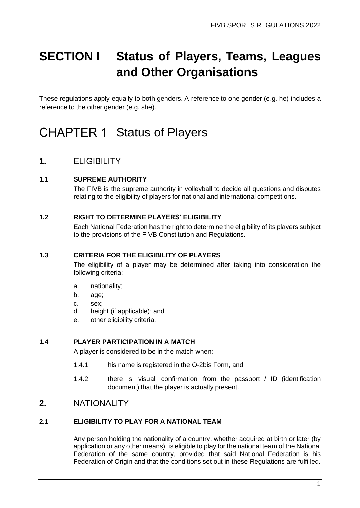## <span id="page-3-0"></span>**SECTION I Status of Players, Teams, Leagues and Other Organisations**

These regulations apply equally to both genders. A reference to one gender (e.g. he) includes a reference to the other gender (e.g. she).

## <span id="page-3-1"></span>CHAPTER 1 Status of Players

## <span id="page-3-2"></span>**1.** ELIGIBILITY

#### **1.1 SUPREME AUTHORITY**

The FIVB is the supreme authority in volleyball to decide all questions and disputes relating to the eligibility of players for national and international competitions.

#### **1.2 RIGHT TO DETERMINE PLAYERS' ELIGIBILITY**

Each National Federation has the right to determine the eligibility of its players subject to the provisions of the FIVB Constitution and Regulations.

#### **1.3 CRITERIA FOR THE ELIGIBILITY OF PLAYERS**

The eligibility of a player may be determined after taking into consideration the following criteria:

- a. nationality;
- b. age;
- c. sex;
- d. height (if applicable); and
- e. other eligibility criteria.

#### **1.4 PLAYER PARTICIPATION IN A MATCH**

A player is considered to be in the match when:

- 1.4.1 his name is registered in the O-2bis Form, and
- 1.4.2 there is visual confirmation from the passport / ID (identification document) that the player is actually present.

### <span id="page-3-3"></span>**2.** NATIONALITY

#### **2.1 ELIGIBILITY TO PLAY FOR A NATIONAL TEAM**

Any person holding the nationality of a country, whether acquired at birth or later (by application or any other means), is eligible to play for the national team of the National Federation of the same country, provided that said National Federation is his Federation of Origin and that the conditions set out in these Regulations are fulfilled.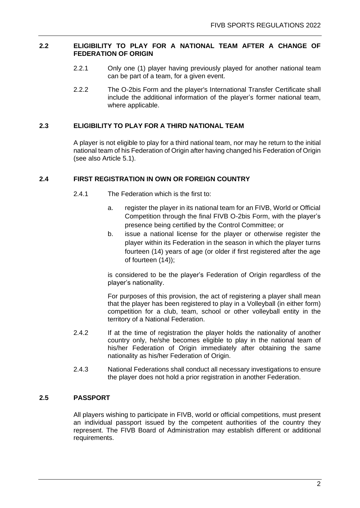#### **2.2 ELIGIBILITY TO PLAY FOR A NATIONAL TEAM AFTER A CHANGE OF FEDERATION OF ORIGIN**

- 2.2.1 Only one (1) player having previously played for another national team can be part of a team, for a given event.
- 2.2.2 The O-2bis Form and the player's International Transfer Certificate shall include the additional information of the player's former national team, where applicable.

#### **2.3 ELIGIBILITY TO PLAY FOR A THIRD NATIONAL TEAM**

A player is not eligible to play for a third national team, nor may he return to the initial national team of his Federation of Origin after having changed his Federation of Origin (see also Article 5.1).

#### **2.4 FIRST REGISTRATION IN OWN OR FOREIGN COUNTRY**

- 2.4.1 The Federation which is the first to:
	- a. register the player in its national team for an FIVB, World or Official Competition through the final FIVB O-2bis Form, with the player's presence being certified by the Control Committee; or
	- b. issue a national license for the player or otherwise register the player within its Federation in the season in which the player turns fourteen (14) years of age (or older if first registered after the age of fourteen (14));

is considered to be the player's Federation of Origin regardless of the player's nationality.

For purposes of this provision, the act of registering a player shall mean that the player has been registered to play in a Volleyball (in either form) competition for a club, team, school or other volleyball entity in the territory of a National Federation.

- 2.4.2 If at the time of registration the player holds the nationality of another country only, he/she becomes eligible to play in the national team of his/her Federation of Origin immediately after obtaining the same nationality as his/her Federation of Origin.
- 2.4.3 National Federations shall conduct all necessary investigations to ensure the player does not hold a prior registration in another Federation.

#### **2.5 PASSPORT**

All players wishing to participate in FIVB, world or official competitions, must present an individual passport issued by the competent authorities of the country they represent. The FIVB Board of Administration may establish different or additional requirements.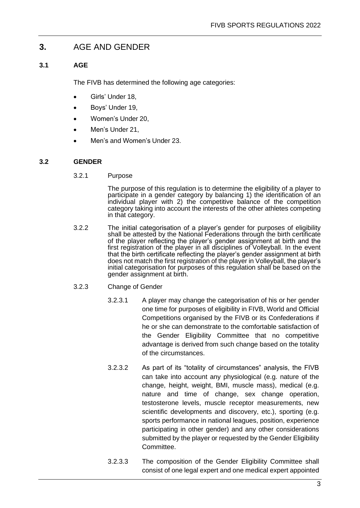### <span id="page-5-0"></span>**3.** AGE AND GENDER

#### **3.1 AGE**

The FIVB has determined the following age categories:

- Girls' Under 18,
- Boys' Under 19,
- Women's Under 20,
- Men's Under 21,
- Men's and Women's Under 23.

#### **3.2 GENDER**

3.2.1 Purpose

The purpose of this regulation is to determine the eligibility of a player to participate in a gender category by balancing 1) the identification of an individual player with 2) the competitive balance of the competition category taking into account the interests of the other athletes competing in that category.

- 3.2.2 The initial categorisation of a player's gender for purposes of eligibility shall be attested by the National Federations through the birth certificate of the player reflecting the player's gender assignment at birth and the first registration of the player in all disciplines of Volleyball. In the event that the birth certificate reflecting the player's gender assignment at birth does not match the first registration of the player in Volleyball, the player's initial categorisation for purposes of this regulation shall be based on the gender assignment at birth.
- 3.2.3 Change of Gender
	- 3.2.3.1 A player may change the categorisation of his or her gender one time for purposes of eligibility in FIVB, World and Official Competitions organised by the FIVB or its Confederations if he or she can demonstrate to the comfortable satisfaction of the Gender Eligibility Committee that no competitive advantage is derived from such change based on the totality of the circumstances.
	- 3.2.3.2 As part of its "totality of circumstances" analysis, the FIVB can take into account any physiological (e.g. nature of the change, height, weight, BMI, muscle mass), medical (e.g. nature and time of change, sex change operation, testosterone levels, muscle receptor measurements, new scientific developments and discovery, etc.), sporting (e.g. sports performance in national leagues, position, experience participating in other gender) and any other considerations submitted by the player or requested by the Gender Eligibility Committee.
	- 3.2.3.3 The composition of the Gender Eligibility Committee shall consist of one legal expert and one medical expert appointed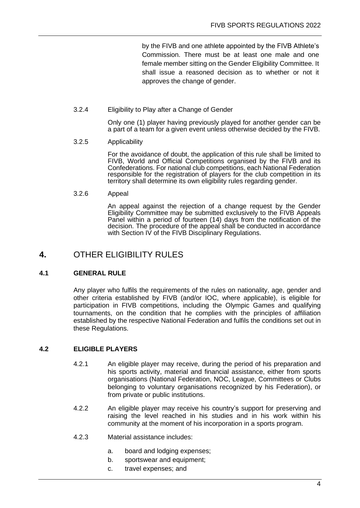by the FIVB and one athlete appointed by the FIVB Athlete's Commission. There must be at least one male and one female member sitting on the Gender Eligibility Committee. It shall issue a reasoned decision as to whether or not it approves the change of gender.

3.2.4 Eligibility to Play after a Change of Gender

Only one (1) player having previously played for another gender can be a part of a team for a given event unless otherwise decided by the FIVB.

3.2.5 Applicability

For the avoidance of doubt, the application of this rule shall be limited to FIVB, World and Official Competitions organised by the FIVB and its Confederations. For national club competitions, each National Federation responsible for the registration of players for the club competition in its territory shall determine its own eligibility rules regarding gender.

3.2.6 Appeal

An appeal against the rejection of a change request by the Gender Eligibility Committee may be submitted exclusively to the FIVB Appeals Panel within a period of fourteen (14) days from the notification of the decision. The procedure of the appeal shall be conducted in accordance with Section IV of the FIVB Disciplinary Regulations.

## <span id="page-6-0"></span>**4.** OTHER ELIGIBILITY RULES

#### **4.1 GENERAL RULE**

Any player who fulfils the requirements of the rules on nationality, age, gender and other criteria established by FIVB (and/or IOC, where applicable), is eligible for participation in FIVB competitions, including the Olympic Games and qualifying tournaments, on the condition that he complies with the principles of affiliation established by the respective National Federation and fulfils the conditions set out in these Regulations.

#### **4.2 ELIGIBLE PLAYERS**

- 4.2.1 An eligible player may receive, during the period of his preparation and his sports activity, material and financial assistance, either from sports organisations (National Federation, NOC, League, Committees or Clubs belonging to voluntary organisations recognized by his Federation), or from private or public institutions.
- 4.2.2 An eligible player may receive his country's support for preserving and raising the level reached in his studies and in his work within his community at the moment of his incorporation in a sports program.
- 4.2.3 Material assistance includes:
	- a. board and lodging expenses;
	- b. sportswear and equipment;
	- c. travel expenses; and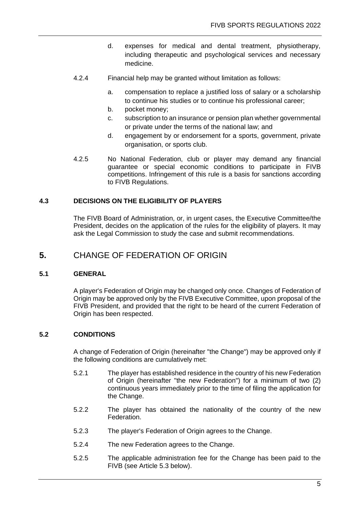- d. expenses for medical and dental treatment, physiotherapy, including therapeutic and psychological services and necessary medicine.
- 4.2.4 Financial help may be granted without limitation as follows:
	- a. compensation to replace a justified loss of salary or a scholarship to continue his studies or to continue his professional career;
	- b. pocket money;
	- c. subscription to an insurance or pension plan whether governmental or private under the terms of the national law; and
	- d. engagement by or endorsement for a sports, government, private organisation, or sports club.
- 4.2.5 No National Federation, club or player may demand any financial guarantee or special economic conditions to participate in FIVB competitions. Infringement of this rule is a basis for sanctions according to FIVB Regulations.

#### **4.3 DECISIONS ON THE ELIGIBILITY OF PLAYERS**

The FIVB Board of Administration, or, in urgent cases, the Executive Committee/the President, decides on the application of the rules for the eligibility of players. It may ask the Legal Commission to study the case and submit recommendations.

### <span id="page-7-0"></span>**5.** CHANGE OF FEDERATION OF ORIGIN

#### **5.1 GENERAL**

A player's Federation of Origin may be changed only once. Changes of Federation of Origin may be approved only by the FIVB Executive Committee, upon proposal of the FIVB President, and provided that the right to be heard of the current Federation of Origin has been respected.

#### **5.2 CONDITIONS**

A change of Federation of Origin (hereinafter "the Change") may be approved only if the following conditions are cumulatively met:

- 5.2.1 The player has established residence in the country of his new Federation of Origin (hereinafter "the new Federation") for a minimum of two (2) continuous years immediately prior to the time of filing the application for the Change.
- 5.2.2 The player has obtained the nationality of the country of the new Federation.
- 5.2.3 The player's Federation of Origin agrees to the Change.
- 5.2.4 The new Federation agrees to the Change.
- 5.2.5 The applicable administration fee for the Change has been paid to the FIVB (see Article 5.3 below).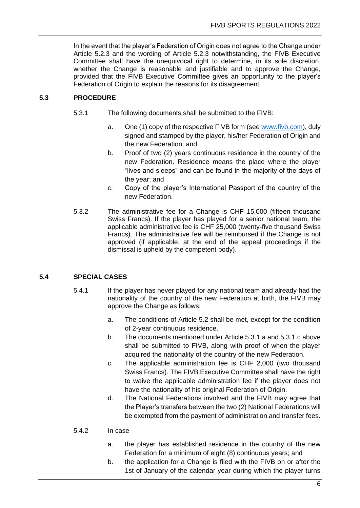In the event that the player's Federation of Origin does not agree to the Change under Article 5.2.3 and the wording of Article 5.2.3 notwithstanding, the FIVB Executive Committee shall have the unequivocal right to determine, in its sole discretion, whether the Change is reasonable and justifiable and to approve the Change, provided that the FIVB Executive Committee gives an opportunity to the player's Federation of Origin to explain the reasons for its disagreement.

#### **5.3 PROCEDURE**

- 5.3.1 The following documents shall be submitted to the FIVB:
	- a. One (1) copy of the respective FIVB form (se[e www.fivb.com\)](http://www.fivb.com/), duly signed and stamped by the player, his/her Federation of Origin and the new Federation; and
	- b. Proof of two (2) years continuous residence in the country of the new Federation. Residence means the place where the player "lives and sleeps" and can be found in the majority of the days of the year; and
	- c. Copy of the player's International Passport of the country of the new Federation.
- 5.3.2 The administrative fee for a Change is CHF 15,000 (fifteen thousand Swiss Francs). If the player has played for a senior national team, the applicable administrative fee is CHF 25,000 (twenty-five thousand Swiss Francs). The administrative fee will be reimbursed if the Change is not approved (if applicable, at the end of the appeal proceedings if the dismissal is upheld by the competent body).

#### **5.4 SPECIAL CASES**

- 5.4.1 If the player has never played for any national team and already had the nationality of the country of the new Federation at birth, the FIVB may approve the Change as follows:
	- a. The conditions of Article 5.2 shall be met, except for the condition of 2-year continuous residence.
	- b. The documents mentioned under Article 5.3.1.a and 5.3.1.c above shall be submitted to FIVB, along with proof of when the player acquired the nationality of the country of the new Federation.
	- c. The applicable administration fee is CHF 2,000 (two thousand Swiss Francs). The FIVB Executive Committee shall have the right to waive the applicable administration fee if the player does not have the nationality of his original Federation of Origin.
	- d. The National Federations involved and the FIVB may agree that the Player's transfers between the two (2) National Federations will be exempted from the payment of administration and transfer fees.

#### 5.4.2 In case

- a. the player has established residence in the country of the new Federation for a minimum of eight (8) continuous years; and
- b. the application for a Change is filed with the FIVB on or after the 1st of January of the calendar year during which the player turns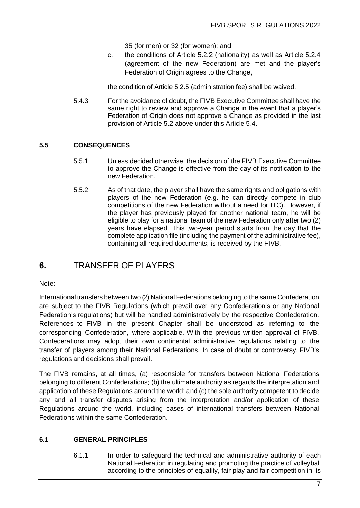35 (for men) or 32 (for women); and

c. the conditions of Article 5.2.2 (nationality) as well as Article 5.2.4 (agreement of the new Federation) are met and the player's Federation of Origin agrees to the Change,

the condition of Article 5.2.5 (administration fee) shall be waived.

5.4.3 For the avoidance of doubt, the FIVB Executive Committee shall have the same right to review and approve a Change in the event that a player's Federation of Origin does not approve a Change as provided in the last provision of Article 5.2 above under this Article 5.4.

#### **5.5 CONSEQUENCES**

- 5.5.1 Unless decided otherwise, the decision of the FIVB Executive Committee to approve the Change is effective from the day of its notification to the new Federation.
- 5.5.2 As of that date, the player shall have the same rights and obligations with players of the new Federation (e.g. he can directly compete in club competitions of the new Federation without a need for ITC). However, if the player has previously played for another national team, he will be eligible to play for a national team of the new Federation only after two (2) years have elapsed. This two-year period starts from the day that the complete application file (including the payment of the administrative fee), containing all required documents, is received by the FIVB.

## <span id="page-9-0"></span>**6.** TRANSFER OF PLAYERS

#### Note:

International transfers between two (2) National Federations belonging to the same Confederation are subject to the FIVB Regulations (which prevail over any Confederation's or any National Federation's regulations) but will be handled administratively by the respective Confederation. References to FIVB in the present Chapter shall be understood as referring to the corresponding Confederation, where applicable. With the previous written approval of FIVB, Confederations may adopt their own continental administrative regulations relating to the transfer of players among their National Federations. In case of doubt or controversy, FIVB's regulations and decisions shall prevail.

The FIVB remains, at all times, (a) responsible for transfers between National Federations belonging to different Confederations; (b) the ultimate authority as regards the interpretation and application of these Regulations around the world; and (c) the sole authority competent to decide any and all transfer disputes arising from the interpretation and/or application of these Regulations around the world, including cases of international transfers between National Federations within the same Confederation.

#### **6.1 GENERAL PRINCIPLES**

6.1.1 In order to safeguard the technical and administrative authority of each National Federation in regulating and promoting the practice of volleyball according to the principles of equality, fair play and fair competition in its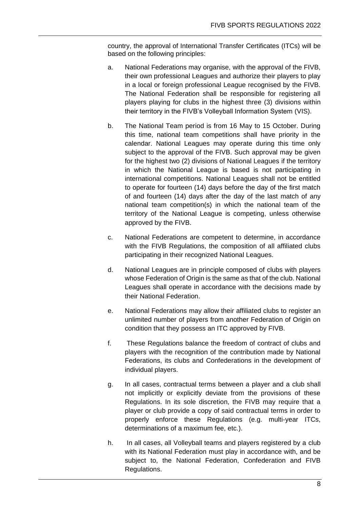country, the approval of International Transfer Certificates (ITCs) will be based on the following principles:

- a. National Federations may organise, with the approval of the FIVB, their own professional Leagues and authorize their players to play in a local or foreign professional League recognised by the FIVB. The National Federation shall be responsible for registering all players playing for clubs in the highest three (3) divisions within their territory in the FIVB's Volleyball Information System (VIS).
- b. The National Team period is from 16 May to 15 October. During this time, national team competitions shall have priority in the calendar. National Leagues may operate during this time only subject to the approval of the FIVB. Such approval may be given for the highest two (2) divisions of National Leagues if the territory in which the National League is based is not participating in international competitions. National Leagues shall not be entitled to operate for fourteen (14) days before the day of the first match of and fourteen (14) days after the day of the last match of any national team competition(s) in which the national team of the territory of the National League is competing, unless otherwise approved by the FIVB.
- c. National Federations are competent to determine, in accordance with the FIVB Regulations, the composition of all affiliated clubs participating in their recognized National Leagues.
- d. National Leagues are in principle composed of clubs with players whose Federation of Origin is the same as that of the club. National Leagues shall operate in accordance with the decisions made by their National Federation.
- e. National Federations may allow their affiliated clubs to register an unlimited number of players from another Federation of Origin on condition that they possess an ITC approved by FIVB.
- f. These Regulations balance the freedom of contract of clubs and players with the recognition of the contribution made by National Federations, its clubs and Confederations in the development of individual players.
- g. In all cases, contractual terms between a player and a club shall not implicitly or explicitly deviate from the provisions of these Regulations. In its sole discretion, the FIVB may require that a player or club provide a copy of said contractual terms in order to properly enforce these Regulations (e.g. multi-year ITCs, determinations of a maximum fee, etc.).
- h. In all cases, all Volleyball teams and players registered by a club with its National Federation must play in accordance with, and be subject to, the National Federation, Confederation and FIVB Regulations.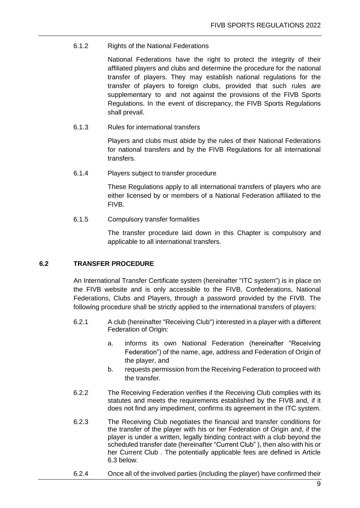#### 6.1.2 Rights of the National Federations

National Federations have the right to protect the integrity of their affiliated players and clubs and determine the procedure for the national transfer of players. They may establish national regulations for the transfer of players to foreign clubs, provided that such rules are supplementary to and not against the provisions of the FIVB Sports Regulations. In the event of discrepancy, the FIVB Sports Regulations shall prevail.

6.1.3 Rules for international transfers

Players and clubs must abide by the rules of their National Federations for national transfers and by the FIVB Regulations for all international transfers.

6.1.4 Players subject to transfer procedure

These Regulations apply to all international transfers of players who are either licensed by or members of a National Federation affiliated to the FIVB.

6.1.5 Compulsory transfer formalities

The transfer procedure laid down in this Chapter is compulsory and applicable to all international transfers.

#### **6.2 TRANSFER PROCEDURE**

An International Transfer Certificate system (hereinafter "ITC system") is in place on the FIVB website and is only accessible to the FIVB, Confederations, National Federations, Clubs and Players, through a password provided by the FIVB. The following procedure shall be strictly applied to the international transfers of players:

- 6.2.1 A club (hereinafter "Receiving Club") interested in a player with a different Federation of Origin:
	- a. informs its own National Federation (hereinafter "Receiving Federation") of the name, age, address and Federation of Origin of the player, and
	- b. requests permission from the Receiving Federation to proceed with the transfer.
- 6.2.2 The Receiving Federation verifies if the Receiving Club complies with its statutes and meets the requirements established by the FIVB and, if it does not find any impediment, confirms its agreement in the ITC system.
- 6.2.3 The Receiving Club negotiates the financial and transfer conditions for the transfer of the player with his or her Federation of Origin and, if the player is under a written, legally binding contract with a club beyond the scheduled transfer date (hereinafter "Current Club" ), then also with his or her Current Club . The potentially applicable fees are defined in Article 6.3 below.
- 6.2.4 Once all of the involved parties (including the player) have confirmed their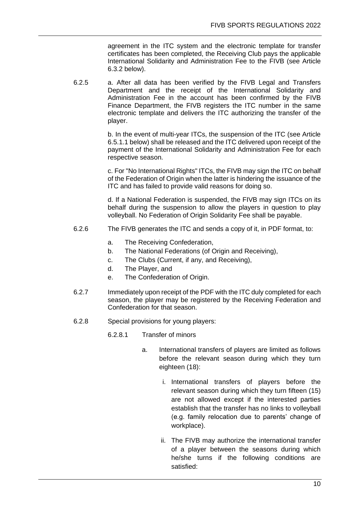agreement in the ITC system and the electronic template for transfer certificates has been completed, the Receiving Club pays the applicable International Solidarity and Administration Fee to the FIVB (see Article 6.3.2 below).

6.2.5 a. After all data has been verified by the FIVB Legal and Transfers Department and the receipt of the International Solidarity and Administration Fee in the account has been confirmed by the FIVB Finance Department, the FIVB registers the ITC number in the same electronic template and delivers the ITC authorizing the transfer of the player.

> b. In the event of multi-year ITCs, the suspension of the ITC (see Article 6.5.1.1 below) shall be released and the ITC delivered upon receipt of the payment of the International Solidarity and Administration Fee for each respective season.

> c. For "No International Rights" ITCs, the FIVB may sign the ITC on behalf of the Federation of Origin when the latter is hindering the issuance of the ITC and has failed to provide valid reasons for doing so.

> d. If a National Federation is suspended, the FIVB may sign ITCs on its behalf during the suspension to allow the players in question to play volleyball. No Federation of Origin Solidarity Fee shall be payable.

- 6.2.6 The FIVB generates the ITC and sends a copy of it, in PDF format, to:
	- a. The Receiving Confederation,
	- b. The National Federations (of Origin and Receiving),
	- c. The Clubs (Current, if any, and Receiving),
	- d. The Player, and
	- e. The Confederation of Origin.
- 6.2.7 Immediately upon receipt of the PDF with the ITC duly completed for each season, the player may be registered by the Receiving Federation and Confederation for that season.
- 6.2.8 Special provisions for young players:
	- 6.2.8.1 Transfer of minors
		- a. International transfers of players are limited as follows before the relevant season during which they turn eighteen (18):
			- i. International transfers of players before the relevant season during which they turn fifteen (15) are not allowed except if the interested parties establish that the transfer has no links to volleyball (e.g. family relocation due to parents' change of workplace).
			- ii. The FIVB may authorize the international transfer of a player between the seasons during which he/she turns if the following conditions are satisfied: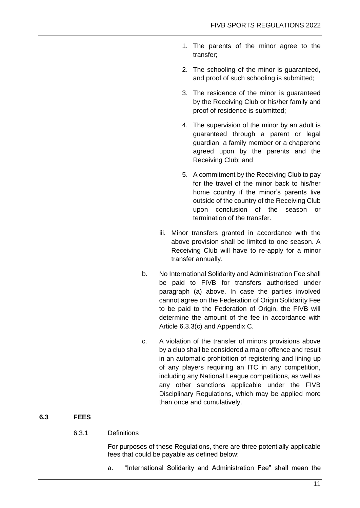- 1. The parents of the minor agree to the transfer;
- 2. The schooling of the minor is guaranteed, and proof of such schooling is submitted;
- 3. The residence of the minor is guaranteed by the Receiving Club or his/her family and proof of residence is submitted;
- 4. The supervision of the minor by an adult is guaranteed through a parent or legal guardian, a family member or a chaperone agreed upon by the parents and the Receiving Club; and
- 5. A commitment by the Receiving Club to pay for the travel of the minor back to his/her home country if the minor's parents live outside of the country of the Receiving Club upon conclusion of the season or termination of the transfer.
- iii. Minor transfers granted in accordance with the above provision shall be limited to one season. A Receiving Club will have to re-apply for a minor transfer annually.
- b. No International Solidarity and Administration Fee shall be paid to FIVB for transfers authorised under paragraph (a) above. In case the parties involved cannot agree on the Federation of Origin Solidarity Fee to be paid to the Federation of Origin, the FIVB will determine the amount of the fee in accordance with Article 6.3.3(c) and Appendix C.
- c. A violation of the transfer of minors provisions above by a club shall be considered a major offence and result in an automatic prohibition of registering and lining-up of any players requiring an ITC in any competition, including any National League competitions, as well as any other sanctions applicable under the FIVB Disciplinary Regulations, which may be applied more than once and cumulatively.

#### **6.3 FEES**

#### 6.3.1 Definitions

For purposes of these Regulations, there are three potentially applicable fees that could be payable as defined below:

a. "International Solidarity and Administration Fee" shall mean the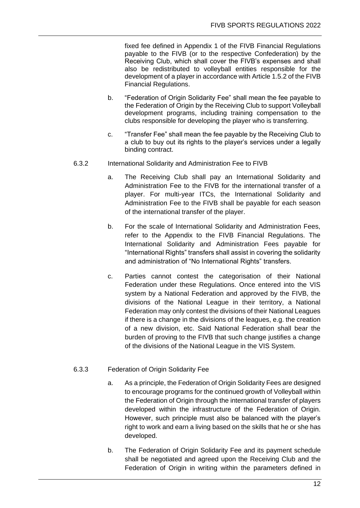fixed fee defined in Appendix 1 of the FIVB Financial Regulations payable to the FIVB (or to the respective Confederation) by the Receiving Club, which shall cover the FIVB's expenses and shall also be redistributed to volleyball entities responsible for the development of a player in accordance with Article 1.5.2 of the FIVB Financial Regulations.

- b. "Federation of Origin Solidarity Fee" shall mean the fee payable to the Federation of Origin by the Receiving Club to support Volleyball development programs, including training compensation to the clubs responsible for developing the player who is transferring.
- c. "Transfer Fee" shall mean the fee payable by the Receiving Club to a club to buy out its rights to the player's services under a legally binding contract.
- 6.3.2 International Solidarity and Administration Fee to FIVB
	- a. The Receiving Club shall pay an International Solidarity and Administration Fee to the FIVB for the international transfer of a player. For multi-year ITCs, the International Solidarity and Administration Fee to the FIVB shall be payable for each season of the international transfer of the player.
	- b. For the scale of International Solidarity and Administration Fees, refer to the Appendix to the FIVB Financial Regulations. The International Solidarity and Administration Fees payable for "International Rights" transfers shall assist in covering the solidarity and administration of "No International Rights" transfers.
	- c. Parties cannot contest the categorisation of their National Federation under these Regulations. Once entered into the VIS system by a National Federation and approved by the FIVB, the divisions of the National League in their territory, a National Federation may only contest the divisions of their National Leagues if there is a change in the divisions of the leagues, e.g. the creation of a new division, etc. Said National Federation shall bear the burden of proving to the FIVB that such change justifies a change of the divisions of the National League in the VIS System.
- 6.3.3 Federation of Origin Solidarity Fee
	- a. As a principle, the Federation of Origin Solidarity Fees are designed to encourage programs for the continued growth of Volleyball within the Federation of Origin through the international transfer of players developed within the infrastructure of the Federation of Origin. However, such principle must also be balanced with the player's right to work and earn a living based on the skills that he or she has developed.
	- b. The Federation of Origin Solidarity Fee and its payment schedule shall be negotiated and agreed upon the Receiving Club and the Federation of Origin in writing within the parameters defined in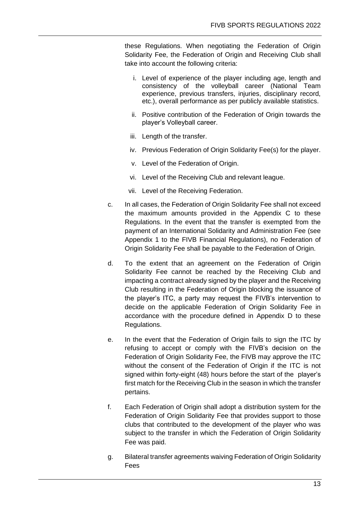these Regulations. When negotiating the Federation of Origin Solidarity Fee, the Federation of Origin and Receiving Club shall take into account the following criteria:

- i. Level of experience of the player including age, length and consistency of the volleyball career (National Team experience, previous transfers, injuries, disciplinary record, etc.), overall performance as per publicly available statistics.
- ii. Positive contribution of the Federation of Origin towards the player's Volleyball career.
- iii. Length of the transfer.
- iv. Previous Federation of Origin Solidarity Fee(s) for the player.
- v. Level of the Federation of Origin.
- vi. Level of the Receiving Club and relevant league.
- vii. Level of the Receiving Federation.
- c. In all cases, the Federation of Origin Solidarity Fee shall not exceed the maximum amounts provided in the Appendix C to these Regulations. In the event that the transfer is exempted from the payment of an International Solidarity and Administration Fee (see Appendix 1 to the FIVB Financial Regulations), no Federation of Origin Solidarity Fee shall be payable to the Federation of Origin.
- d. To the extent that an agreement on the Federation of Origin Solidarity Fee cannot be reached by the Receiving Club and impacting a contract already signed by the player and the Receiving Club resulting in the Federation of Origin blocking the issuance of the player's ITC, a party may request the FIVB's intervention to decide on the applicable Federation of Origin Solidarity Fee in accordance with the procedure defined in Appendix D to these Regulations.
- e. In the event that the Federation of Origin fails to sign the ITC by refusing to accept or comply with the FIVB's decision on the Federation of Origin Solidarity Fee, the FIVB may approve the ITC without the consent of the Federation of Origin if the ITC is not signed within forty-eight (48) hours before the start of the player's first match for the Receiving Club in the season in which the transfer pertains.
- f. Each Federation of Origin shall adopt a distribution system for the Federation of Origin Solidarity Fee that provides support to those clubs that contributed to the development of the player who was subject to the transfer in which the Federation of Origin Solidarity Fee was paid.
- g. Bilateral transfer agreements waiving Federation of Origin Solidarity Fees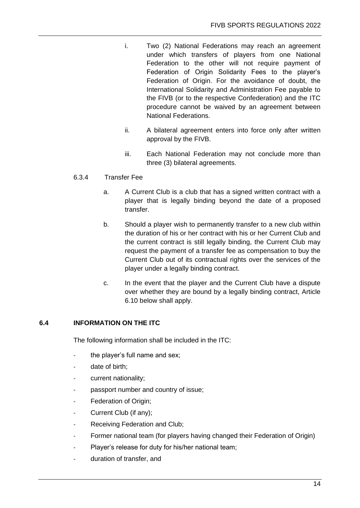- i. Two (2) National Federations may reach an agreement under which transfers of players from one National Federation to the other will not require payment of Federation of Origin Solidarity Fees to the player's Federation of Origin. For the avoidance of doubt, the International Solidarity and Administration Fee payable to the FIVB (or to the respective Confederation) and the ITC procedure cannot be waived by an agreement between National Federations.
- ii. A bilateral agreement enters into force only after written approval by the FIVB.
- iii. Each National Federation may not conclude more than three (3) bilateral agreements.

#### 6.3.4 Transfer Fee

- a. A Current Club is a club that has a signed written contract with a player that is legally binding beyond the date of a proposed transfer.
- b. Should a player wish to permanently transfer to a new club within the duration of his or her contract with his or her Current Club and the current contract is still legally binding, the Current Club may request the payment of a transfer fee as compensation to buy the Current Club out of its contractual rights over the services of the player under a legally binding contract.
- c. In the event that the player and the Current Club have a dispute over whether they are bound by a legally binding contract, Article 6.10 below shall apply.

#### **6.4 INFORMATION ON THE ITC**

The following information shall be included in the ITC:

- the player's full name and sex;
- date of birth;
- current nationality;
- passport number and country of issue;
- Federation of Origin;
- Current Club (if any);
- Receiving Federation and Club;
- Former national team (for players having changed their Federation of Origin)
- Player's release for duty for his/her national team;
- duration of transfer, and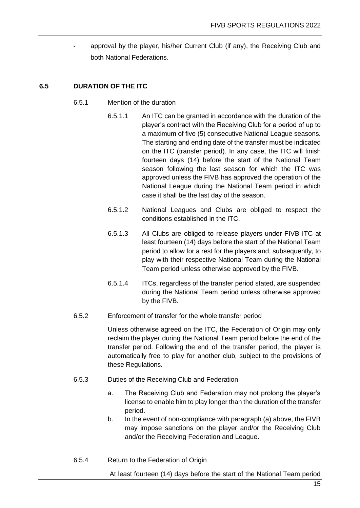approval by the player, his/her Current Club (if any), the Receiving Club and both National Federations.

#### **6.5 DURATION OF THE ITC**

- 6.5.1 Mention of the duration
	- 6.5.1.1 An ITC can be granted in accordance with the duration of the player's contract with the Receiving Club for a period of up to a maximum of five (5) consecutive National League seasons. The starting and ending date of the transfer must be indicated on the ITC (transfer period). In any case, the ITC will finish fourteen days (14) before the start of the National Team season following the last season for which the ITC was approved unless the FIVB has approved the operation of the National League during the National Team period in which case it shall be the last day of the season.
	- 6.5.1.2 National Leagues and Clubs are obliged to respect the conditions established in the ITC.
	- 6.5.1.3 All Clubs are obliged to release players under FIVB ITC at least fourteen (14) days before the start of the National Team period to allow for a rest for the players and, subsequently, to play with their respective National Team during the National Team period unless otherwise approved by the FIVB.
	- 6.5.1.4 ITCs, regardless of the transfer period stated, are suspended during the National Team period unless otherwise approved by the FIVB.
- 6.5.2 Enforcement of transfer for the whole transfer period

Unless otherwise agreed on the ITC, the Federation of Origin may only reclaim the player during the National Team period before the end of the transfer period. Following the end of the transfer period, the player is automatically free to play for another club, subject to the provisions of these Regulations.

- 6.5.3 Duties of the Receiving Club and Federation
	- a. The Receiving Club and Federation may not prolong the player's license to enable him to play longer than the duration of the transfer period.
	- b. In the event of non-compliance with paragraph (a) above, the FIVB may impose sanctions on the player and/or the Receiving Club and/or the Receiving Federation and League.
- 6.5.4 Return to the Federation of Origin

At least fourteen (14) days before the start of the National Team period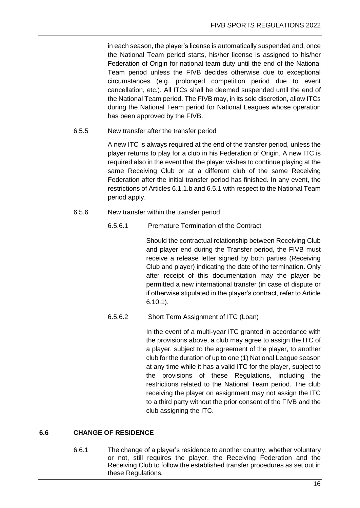in each season, the player's license is automatically suspended and, once the National Team period starts, his/her license is assigned to his/her Federation of Origin for national team duty until the end of the National Team period unless the FIVB decides otherwise due to exceptional circumstances (e.g. prolonged competition period due to event cancellation, etc.). All ITCs shall be deemed suspended until the end of the National Team period. The FIVB may, in its sole discretion, allow ITCs during the National Team period for National Leagues whose operation has been approved by the FIVB.

6.5.5 New transfer after the transfer period

A new ITC is always required at the end of the transfer period, unless the player returns to play for a club in his Federation of Origin. A new ITC is required also in the event that the player wishes to continue playing at the same Receiving Club or at a different club of the same Receiving Federation after the initial transfer period has finished. In any event, the restrictions of Articles 6.1.1.b and 6.5.1 with respect to the National Team period apply.

- 6.5.6 New transfer within the transfer period
	- 6.5.6.1 Premature Termination of the Contract

Should the contractual relationship between Receiving Club and player end during the Transfer period, the FIVB must receive a release letter signed by both parties (Receiving Club and player) indicating the date of the termination. Only after receipt of this documentation may the player be permitted a new international transfer (in case of dispute or if otherwise stipulated in the player's contract, refer to Article 6.10.1).

6.5.6.2 Short Term Assignment of ITC (Loan)

In the event of a multi-year ITC granted in accordance with the provisions above, a club may agree to assign the ITC of a player, subject to the agreement of the player, to another club for the duration of up to one (1) National League season at any time while it has a valid ITC for the player, subject to the provisions of these Regulations, including the restrictions related to the National Team period. The club receiving the player on assignment may not assign the ITC to a third party without the prior consent of the FIVB and the club assigning the ITC.

#### **6.6 CHANGE OF RESIDENCE**

6.6.1 The change of a player's residence to another country, whether voluntary or not, still requires the player, the Receiving Federation and the Receiving Club to follow the established transfer procedures as set out in these Regulations.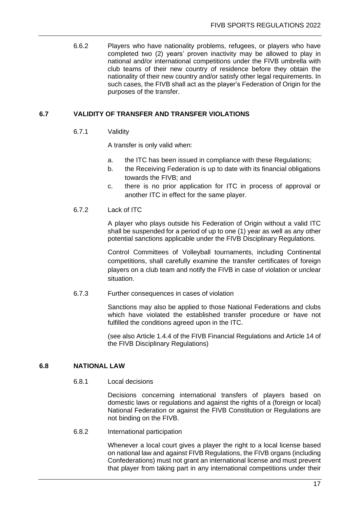6.6.2 Players who have nationality problems, refugees, or players who have completed two (2) years' proven inactivity may be allowed to play in national and/or international competitions under the FIVB umbrella with club teams of their new country of residence before they obtain the nationality of their new country and/or satisfy other legal requirements. In such cases, the FIVB shall act as the player's Federation of Origin for the purposes of the transfer.

#### **6.7 VALIDITY OF TRANSFER AND TRANSFER VIOLATIONS**

#### 6.7.1 Validity

A transfer is only valid when:

- a. the ITC has been issued in compliance with these Regulations;
- b. the Receiving Federation is up to date with its financial obligations towards the FIVB; and
- c. there is no prior application for ITC in process of approval or another ITC in effect for the same player.

#### 6.7.2 Lack of ITC

A player who plays outside his Federation of Origin without a valid ITC shall be suspended for a period of up to one (1) year as well as any other potential sanctions applicable under the FIVB Disciplinary Regulations.

Control Committees of Volleyball tournaments, including Continental competitions, shall carefully examine the transfer certificates of foreign players on a club team and notify the FIVB in case of violation or unclear situation.

6.7.3 Further consequences in cases of violation

Sanctions may also be applied to those National Federations and clubs which have violated the established transfer procedure or have not fulfilled the conditions agreed upon in the ITC.

(see also Article 1.4.4 of the FIVB Financial Regulations and Article 14 of the FIVB Disciplinary Regulations)

#### **6.8 NATIONAL LAW**

6.8.1 Local decisions

Decisions concerning international transfers of players based on domestic laws or regulations and against the rights of a (foreign or local) National Federation or against the FIVB Constitution or Regulations are not binding on the FIVB.

6.8.2 International participation

Whenever a local court gives a player the right to a local license based on national law and against FIVB Regulations, the FIVB organs (including Confederations) must not grant an international license and must prevent that player from taking part in any international competitions under their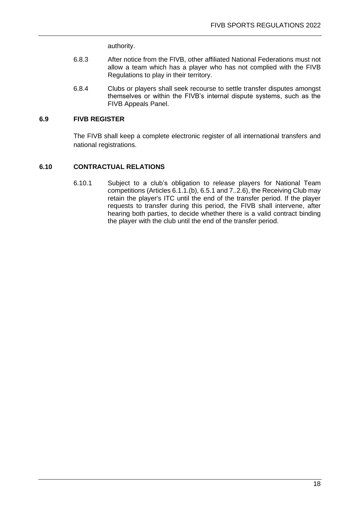authority.

- 6.8.3 After notice from the FIVB, other affiliated National Federations must not allow a team which has a player who has not complied with the FIVB Regulations to play in their territory.
- 6.8.4 Clubs or players shall seek recourse to settle transfer disputes amongst themselves or within the FIVB's internal dispute systems, such as the FIVB Appeals Panel.

#### **6.9 FIVB REGISTER**

The FIVB shall keep a complete electronic register of all international transfers and national registrations.

#### **6.10 CONTRACTUAL RELATIONS**

6.10.1 Subject to a club's obligation to release players for National Team competitions (Articles 6.1.1.(b), 6.5.1 and 7..2.6), the Receiving Club may retain the player's ITC until the end of the transfer period. If the player requests to transfer during this period, the FIVB shall intervene, after hearing both parties, to decide whether there is a valid contract binding the player with the club until the end of the transfer period.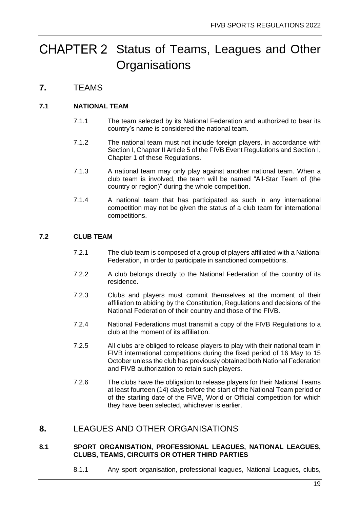## <span id="page-21-0"></span>CHAPTER 2 Status of Teams, Leagues and Other **Organisations**

## <span id="page-21-1"></span>**7.** TEAMS

#### **7.1 NATIONAL TEAM**

- 7.1.1 The team selected by its National Federation and authorized to bear its country's name is considered the national team.
- 7.1.2 The national team must not include foreign players, in accordance with Section I, Chapter II Article 5 of the FIVB Event Regulations and Section I, Chapter 1 of these Regulations.
- 7.1.3 A national team may only play against another national team. When a club team is involved, the team will be named "All-Star Team of (the country or region)" during the whole competition.
- 7.1.4 A national team that has participated as such in any international competition may not be given the status of a club team for international competitions.

#### **7.2 CLUB TEAM**

- 7.2.1 The club team is composed of a group of players affiliated with a National Federation, in order to participate in sanctioned competitions.
- 7.2.2 A club belongs directly to the National Federation of the country of its residence.
- 7.2.3 Clubs and players must commit themselves at the moment of their affiliation to abiding by the Constitution, Regulations and decisions of the National Federation of their country and those of the FIVB.
- 7.2.4 National Federations must transmit a copy of the FIVB Regulations to a club at the moment of its affiliation.
- 7.2.5 All clubs are obliged to release players to play with their national team in FIVB international competitions during the fixed period of 16 May to 15 October unless the club has previously obtained both National Federation and FIVB authorization to retain such players.
- 7.2.6 The clubs have the obligation to release players for their National Teams at least fourteen (14) days before the start of the National Team period or of the starting date of the FIVB, World or Official competition for which they have been selected, whichever is earlier.

### <span id="page-21-2"></span>**8.** LEAGUES AND OTHER ORGANISATIONS

#### **8.1 SPORT ORGANISATION, PROFESSIONAL LEAGUES, NATIONAL LEAGUES, CLUBS, TEAMS, CIRCUITS OR OTHER THIRD PARTIES**

8.1.1 Any sport organisation, professional leagues, National Leagues, clubs,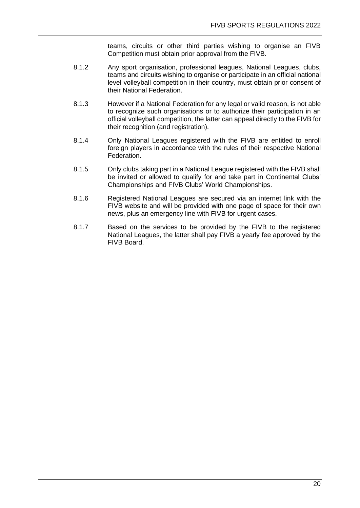teams, circuits or other third parties wishing to organise an FIVB Competition must obtain prior approval from the FIVB.

- 8.1.2 Any sport organisation, professional leagues, National Leagues, clubs, teams and circuits wishing to organise or participate in an official national level volleyball competition in their country, must obtain prior consent of their National Federation.
- 8.1.3 However if a National Federation for any legal or valid reason, is not able to recognize such organisations or to authorize their participation in an official volleyball competition, the latter can appeal directly to the FIVB for their recognition (and registration).
- 8.1.4 Only National Leagues registered with the FIVB are entitled to enroll foreign players in accordance with the rules of their respective National Federation.
- 8.1.5 Only clubs taking part in a National League registered with the FIVB shall be invited or allowed to qualify for and take part in Continental Clubs' Championships and FIVB Clubs' World Championships.
- 8.1.6 Registered National Leagues are secured via an internet link with the FIVB website and will be provided with one page of space for their own news, plus an emergency line with FIVB for urgent cases.
- 8.1.7 Based on the services to be provided by the FIVB to the registered National Leagues, the latter shall pay FIVB a yearly fee approved by the FIVB Board.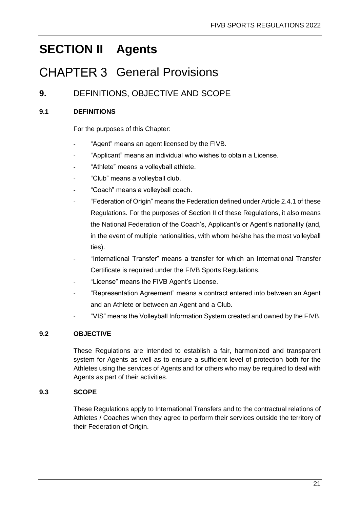## <span id="page-23-0"></span>**SECTION II Agents**

## <span id="page-23-1"></span>CHAPTER 3 General Provisions

## <span id="page-23-2"></span>**9.** DEFINITIONS, OBJECTIVE AND SCOPE

### **9.1 DEFINITIONS**

For the purposes of this Chapter:

- "Agent" means an agent licensed by the FIVB.
- "Applicant" means an individual who wishes to obtain a License.
- "Athlete" means a volleyball athlete.
- "Club" means a volleyball club.
- "Coach" means a volleyball coach.
- "Federation of Origin" means the Federation defined under Article 2.4.1 of these Regulations. For the purposes of Section II of these Regulations, it also means the National Federation of the Coach's, Applicant's or Agent's nationality (and, in the event of multiple nationalities, with whom he/she has the most volleyball ties).
- "International Transfer" means a transfer for which an International Transfer Certificate is required under the FIVB Sports Regulations.
- "License" means the FIVB Agent's License.
- "Representation Agreement" means a contract entered into between an Agent and an Athlete or between an Agent and a Club.
- "VIS" means the Volleyball Information System created and owned by the FIVB.

#### **9.2 OBJECTIVE**

These Regulations are intended to establish a fair, harmonized and transparent system for Agents as well as to ensure a sufficient level of protection both for the Athletes using the services of Agents and for others who may be required to deal with Agents as part of their activities.

#### **9.3 SCOPE**

These Regulations apply to International Transfers and to the contractual relations of Athletes / Coaches when they agree to perform their services outside the territory of their Federation of Origin.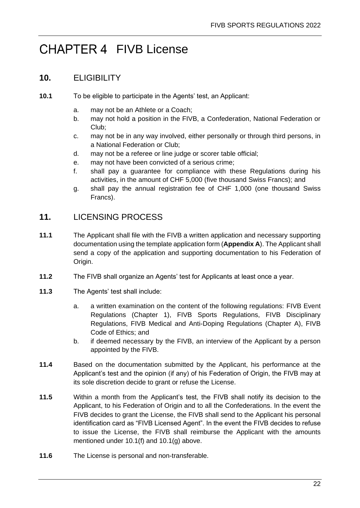## <span id="page-24-0"></span>CHAPTER 4 FIVB License

### <span id="page-24-1"></span>**10.** ELIGIBILITY

- **10.1** To be eligible to participate in the Agents' test, an Applicant:
	- a. may not be an Athlete or a Coach;
	- b. may not hold a position in the FIVB, a Confederation, National Federation or Club;
	- c. may not be in any way involved, either personally or through third persons, in a National Federation or Club;
	- d. may not be a referee or line judge or scorer table official;
	- e. may not have been convicted of a serious crime;
	- f. shall pay a guarantee for compliance with these Regulations during his activities, in the amount of CHF 5,000 (five thousand Swiss Francs); and
	- g. shall pay the annual registration fee of CHF 1,000 (one thousand Swiss Francs).

## <span id="page-24-2"></span>**11.** LICENSING PROCESS

- **11.1** The Applicant shall file with the FIVB a written application and necessary supporting documentation using the template application form (**Appendix A**). The Applicant shall send a copy of the application and supporting documentation to his Federation of Origin.
- **11.2** The FIVB shall organize an Agents' test for Applicants at least once a year.
- **11.3** The Agents' test shall include:
	- a. a written examination on the content of the following regulations: FIVB Event Regulations (Chapter 1), FIVB Sports Regulations, FIVB Disciplinary Regulations, FIVB Medical and Anti-Doping Regulations (Chapter A), FIVB Code of Ethics; and
	- b. if deemed necessary by the FIVB, an interview of the Applicant by a person appointed by the FIVB.
- **11.4** Based on the documentation submitted by the Applicant, his performance at the Applicant's test and the opinion (if any) of his Federation of Origin, the FIVB may at its sole discretion decide to grant or refuse the License.
- **11.5** Within a month from the Applicant's test, the FIVB shall notify its decision to the Applicant, to his Federation of Origin and to all the Confederations. In the event the FIVB decides to grant the License, the FIVB shall send to the Applicant his personal identification card as "FIVB Licensed Agent". In the event the FIVB decides to refuse to issue the License, the FIVB shall reimburse the Applicant with the amounts mentioned under 10.1(f) and 10.1(g) above.
- **11.6** The License is personal and non-transferable.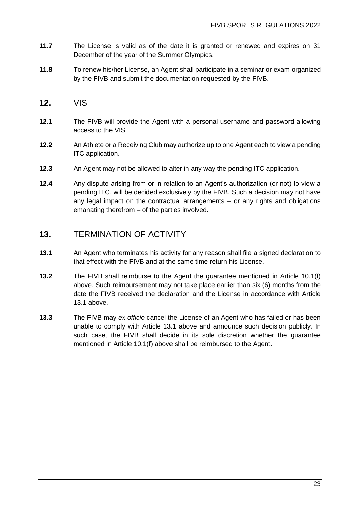- **11.7** The License is valid as of the date it is granted or renewed and expires on 31 December of the year of the Summer Olympics.
- **11.8** To renew his/her License, an Agent shall participate in a seminar or exam organized by the FIVB and submit the documentation requested by the FIVB.
- <span id="page-25-0"></span>**12.** VIS
- **12.1** The FIVB will provide the Agent with a personal username and password allowing access to the VIS.
- **12.2** An Athlete or a Receiving Club may authorize up to one Agent each to view a pending ITC application.
- **12.3** An Agent may not be allowed to alter in any way the pending ITC application.
- **12.4** Any dispute arising from or in relation to an Agent's authorization (or not) to view a pending ITC, will be decided exclusively by the FIVB. Such a decision may not have any legal impact on the contractual arrangements – or any rights and obligations emanating therefrom – of the parties involved.

### <span id="page-25-1"></span>**13.** TERMINATION OF ACTIVITY

- **13.1** An Agent who terminates his activity for any reason shall file a signed declaration to that effect with the FIVB and at the same time return his License.
- **13.2** The FIVB shall reimburse to the Agent the guarantee mentioned in Article 10.1(f) above. Such reimbursement may not take place earlier than six (6) months from the date the FIVB received the declaration and the License in accordance with Article 13.1 above.
- **13.3** The FIVB may *ex officio* cancel the License of an Agent who has failed or has been unable to comply with Article 13.1 above and announce such decision publicly. In such case, the FIVB shall decide in its sole discretion whether the guarantee mentioned in Article 10.1(f) above shall be reimbursed to the Agent.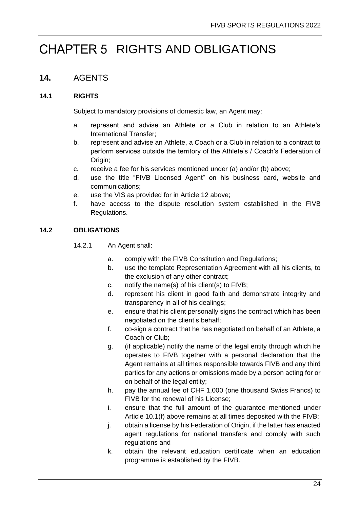## <span id="page-26-0"></span>CHAPTER 5 RIGHTS AND OBLIGATIONS

## <span id="page-26-1"></span>**14.** AGENTS

#### **14.1 RIGHTS**

Subject to mandatory provisions of domestic law, an Agent may:

- a. represent and advise an Athlete or a Club in relation to an Athlete's International Transfer;
- b. represent and advise an Athlete, a Coach or a Club in relation to a contract to perform services outside the territory of the Athlete's / Coach's Federation of Origin;
- c. receive a fee for his services mentioned under (a) and/or (b) above;
- d. use the title "FIVB Licensed Agent" on his business card, website and communications;
- e. use the VIS as provided for in Article 12 above;
- f. have access to the dispute resolution system established in the FIVB Regulations.

#### **14.2 OBLIGATIONS**

- 14.2.1 An Agent shall:
	- a. comply with the FIVB Constitution and Regulations;
	- b. use the template Representation Agreement with all his clients, to the exclusion of any other contract;
	- c. notify the name(s) of his client(s) to FIVB;
	- d. represent his client in good faith and demonstrate integrity and transparency in all of his dealings;
	- e. ensure that his client personally signs the contract which has been negotiated on the client's behalf;
	- f. co-sign a contract that he has negotiated on behalf of an Athlete, a Coach or Club;
	- g. (if applicable) notify the name of the legal entity through which he operates to FIVB together with a personal declaration that the Agent remains at all times responsible towards FIVB and any third parties for any actions or omissions made by a person acting for or on behalf of the legal entity;
	- h. pay the annual fee of CHF 1,000 (one thousand Swiss Francs) to FIVB for the renewal of his License;
	- i. ensure that the full amount of the guarantee mentioned under Article 10.1(f) above remains at all times deposited with the FIVB;
	- j. obtain a license by his Federation of Origin, if the latter has enacted agent regulations for national transfers and comply with such regulations and
	- k. obtain the relevant education certificate when an education programme is established by the FIVB.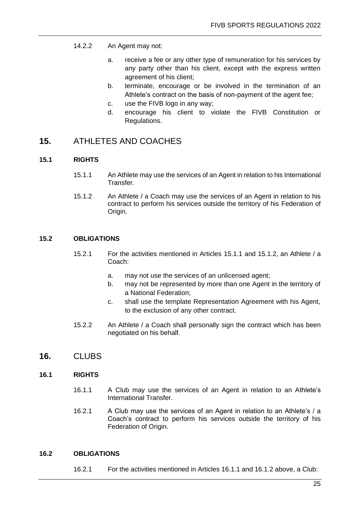- 14.2.2 An Agent may not:
	- a. receive a fee or any other type of remuneration for his services by any party other than his client, except with the express written agreement of his client;
	- b. terminate, encourage or be involved in the termination of an Athlete's contract on the basis of non-payment of the agent fee;
	- c. use the FIVB logo in any way;
	- d. encourage his client to violate the FIVB Constitution or Regulations.

### <span id="page-27-0"></span>**15.** ATHLETES AND COACHES

#### **15.1 RIGHTS**

- 15.1.1 An Athlete may use the services of an Agent in relation to his International Transfer.
- 15.1.2 An Athlete / a Coach may use the services of an Agent in relation to his contract to perform his services outside the territory of his Federation of Origin.

#### **15.2 OBLIGATIONS**

- 15.2.1 For the activities mentioned in Articles 15.1.1 and 15.1.2, an Athlete / a Coach:
	- a. may not use the services of an unlicensed agent;
	- b. may not be represented by more than one Agent in the territory of a National Federation;
	- c. shall use the template Representation Agreement with his Agent, to the exclusion of any other contract.
- 15.2.2 An Athlete / a Coach shall personally sign the contract which has been negotiated on his behalf.
- <span id="page-27-1"></span>**16.** CLUBS

#### **16.1 RIGHTS**

- 16.1.1 A Club may use the services of an Agent in relation to an Athlete's International Transfer.
- 16.2.1 A Club may use the services of an Agent in relation to an Athlete's / a Coach's contract to perform his services outside the territory of his Federation of Origin.

#### **16.2 OBLIGATIONS**

16.2.1 For the activities mentioned in Articles 16.1.1 and 16.1.2 above, a Club: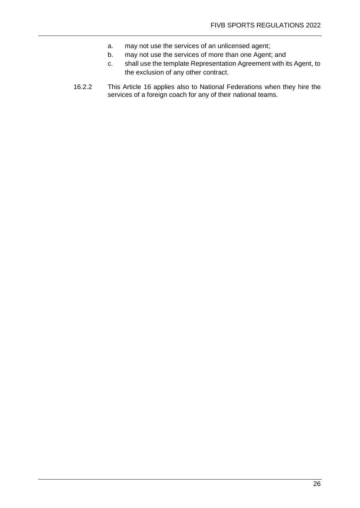- a. may not use the services of an unlicensed agent;
- b. may not use the services of more than one Agent; and
- c. shall use the template Representation Agreement with its Agent, to the exclusion of any other contract.
- 16.2.2 This Article 16 applies also to National Federations when they hire the services of a foreign coach for any of their national teams.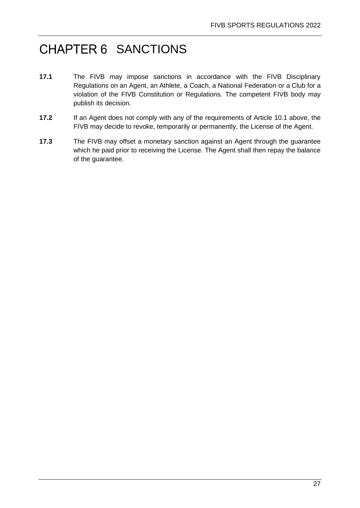## <span id="page-29-0"></span>CHAPTER 6 SANCTIONS

- **17.1** The FIVB may impose sanctions in accordance with the FIVB Disciplinary Regulations on an Agent, an Athlete, a Coach, a National Federation or a Club for a violation of the FIVB Constitution or Regulations. The competent FIVB body may publish its decision.
- **17.2** If an Agent does not comply with any of the requirements of Article 10.1 above, the FIVB may decide to revoke, temporarily or permanently, the License of the Agent.
- **17.3** The FIVB may offset a monetary sanction against an Agent through the guarantee which he paid prior to receiving the License. The Agent shall then repay the balance of the guarantee.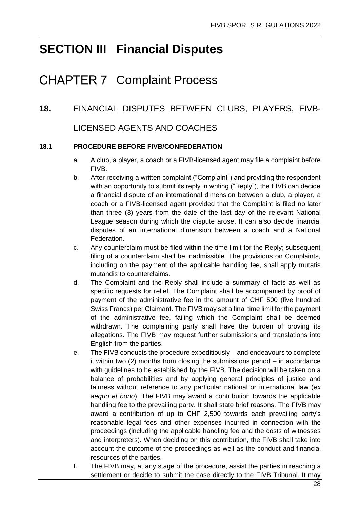## <span id="page-30-0"></span>**SECTION III Financial Disputes**

## <span id="page-30-1"></span>**CHAPTER 7 Complaint Process**

## <span id="page-30-2"></span>**18.** FINANCIAL DISPUTES BETWEEN CLUBS, PLAYERS, FIVB-

## LICENSED AGENTS AND COACHES

#### **18.1 PROCEDURE BEFORE FIVB/CONFEDERATION**

- a. A club, a player, a coach or a FIVB-licensed agent may file a complaint before FIVB.
- b. After receiving a written complaint ("Complaint") and providing the respondent with an opportunity to submit its reply in writing ("Reply"), the FIVB can decide a financial dispute of an international dimension between a club, a player, a coach or a FIVB-licensed agent provided that the Complaint is filed no later than three (3) years from the date of the last day of the relevant National League season during which the dispute arose. It can also decide financial disputes of an international dimension between a coach and a National Federation.
- c. Any counterclaim must be filed within the time limit for the Reply; subsequent filing of a counterclaim shall be inadmissible. The provisions on Complaints, including on the payment of the applicable handling fee, shall apply mutatis mutandis to counterclaims.
- d. The Complaint and the Reply shall include a summary of facts as well as specific requests for relief. The Complaint shall be accompanied by proof of payment of the administrative fee in the amount of CHF 500 (five hundred Swiss Francs) per Claimant. The FIVB may set a final time limit for the payment of the administrative fee, failing which the Complaint shall be deemed withdrawn. The complaining party shall have the burden of proving its allegations. The FIVB may request further submissions and translations into English from the parties.
- e. The FIVB conducts the procedure expeditiously and endeavours to complete it within two (2) months from closing the submissions period – in accordance with guidelines to be established by the FIVB. The decision will be taken on a balance of probabilities and by applying general principles of justice and fairness without reference to any particular national or international law (*ex aequo et bono*). The FIVB may award a contribution towards the applicable handling fee to the prevailing party. It shall state brief reasons. The FIVB may award a contribution of up to CHF 2,500 towards each prevailing party's reasonable legal fees and other expenses incurred in connection with the proceedings (including the applicable handling fee and the costs of witnesses and interpreters). When deciding on this contribution, the FIVB shall take into account the outcome of the proceedings as well as the conduct and financial resources of the parties.
- f. The FIVB may, at any stage of the procedure, assist the parties in reaching a settlement or decide to submit the case directly to the FIVB Tribunal. It may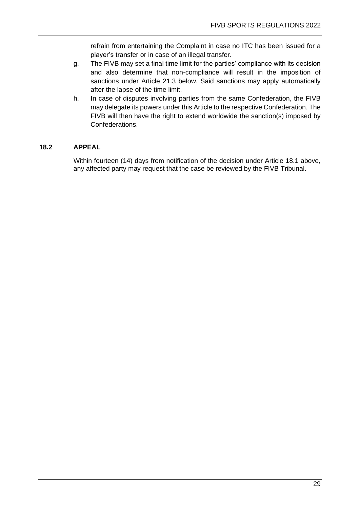refrain from entertaining the Complaint in case no ITC has been issued for a player's transfer or in case of an illegal transfer.

- g. The FIVB may set a final time limit for the parties' compliance with its decision and also determine that non-compliance will result in the imposition of sanctions under Article 21.3 below. Said sanctions may apply automatically after the lapse of the time limit.
- h. In case of disputes involving parties from the same Confederation, the FIVB may delegate its powers under this Article to the respective Confederation. The FIVB will then have the right to extend worldwide the sanction(s) imposed by Confederations.

#### **18.2 APPEAL**

Within fourteen (14) days from notification of the decision under Article 18.1 above, any affected party may request that the case be reviewed by the FIVB Tribunal.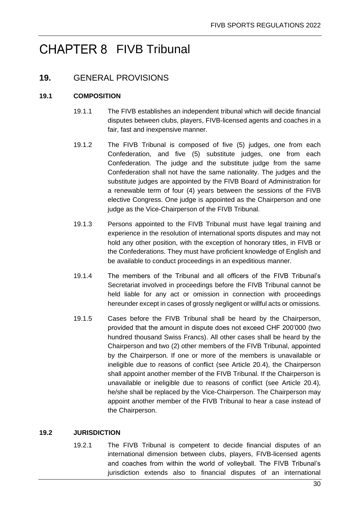## <span id="page-32-0"></span>CHAPTER 8 FIVB Tribunal

## <span id="page-32-1"></span>**19.** GENERAL PROVISIONS

#### **19.1 COMPOSITION**

- 19.1.1 The FIVB establishes an independent tribunal which will decide financial disputes between clubs, players, FIVB-licensed agents and coaches in a fair, fast and inexpensive manner.
- 19.1.2 The FIVB Tribunal is composed of five (5) judges, one from each Confederation, and five (5) substitute judges, one from each Confederation. The judge and the substitute judge from the same Confederation shall not have the same nationality. The judges and the substitute judges are appointed by the FIVB Board of Administration for a renewable term of four (4) years between the sessions of the FIVB elective Congress. One judge is appointed as the Chairperson and one judge as the Vice-Chairperson of the FIVB Tribunal.
- 19.1.3 Persons appointed to the FIVB Tribunal must have legal training and experience in the resolution of international sports disputes and may not hold any other position, with the exception of honorary titles, in FIVB or the Confederations. They must have proficient knowledge of English and be available to conduct proceedings in an expeditious manner.
- 19.1.4 The members of the Tribunal and all officers of the FIVB Tribunal's Secretariat involved in proceedings before the FIVB Tribunal cannot be held liable for any act or omission in connection with proceedings hereunder except in cases of grossly negligent or willful acts or omissions.
- 19.1.5 Cases before the FIVB Tribunal shall be heard by the Chairperson, provided that the amount in dispute does not exceed CHF 200'000 (two hundred thousand Swiss Francs). All other cases shall be heard by the Chairperson and two (2) other members of the FIVB Tribunal, appointed by the Chairperson. If one or more of the members is unavailable or ineligible due to reasons of conflict (see Article 20.4), the Chairperson shall appoint another member of the FIVB Tribunal. If the Chairperson is unavailable or ineligible due to reasons of conflict (see Article 20.4), he/she shall be replaced by the Vice‐Chairperson. The Chairperson may appoint another member of the FIVB Tribunal to hear a case instead of the Chairperson.

#### **19.2 JURISDICTION**

19.2.1 The FIVB Tribunal is competent to decide financial disputes of an international dimension between clubs, players, FIVB-licensed agents and coaches from within the world of volleyball. The FIVB Tribunal's jurisdiction extends also to financial disputes of an international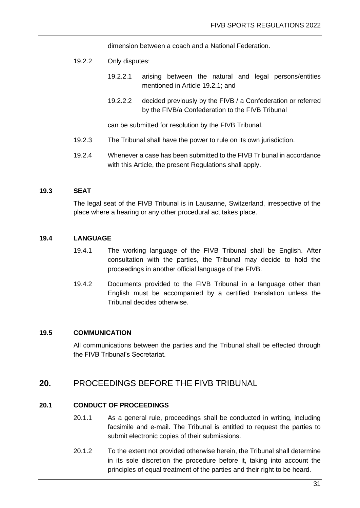dimension between a coach and a National Federation.

- 19.2.2 Only disputes:
	- 19.2.2.1 arising between the natural and legal persons/entities mentioned in Article 19.2.1; and
	- 19.2.2.2 decided previously by the FIVB / a Confederation or referred by the FIVB/a Confederation to the FIVB Tribunal

can be submitted for resolution by the FIVB Tribunal.

- 19.2.3 The Tribunal shall have the power to rule on its own jurisdiction.
- 19.2.4 Whenever a case has been submitted to the FIVB Tribunal in accordance with this Article, the present Regulations shall apply.

#### **19.3 SEAT**

The legal seat of the FIVB Tribunal is in Lausanne, Switzerland, irrespective of the place where a hearing or any other procedural act takes place.

#### **19.4 LANGUAGE**

- 19.4.1 The working language of the FIVB Tribunal shall be English. After consultation with the parties, the Tribunal may decide to hold the proceedings in another official language of the FIVB.
- 19.4.2 Documents provided to the FIVB Tribunal in a language other than English must be accompanied by a certified translation unless the Tribunal decides otherwise.

#### **19.5 COMMUNICATION**

All communications between the parties and the Tribunal shall be effected through the FIVB Tribunal's Secretariat.

### <span id="page-33-0"></span>**20.** PROCEEDINGS BEFORE THE FIVB TRIBUNAL

#### **20.1 CONDUCT OF PROCEEDINGS**

- 20.1.1 As a general rule, proceedings shall be conducted in writing, including facsimile and e-mail. The Tribunal is entitled to request the parties to submit electronic copies of their submissions.
- 20.1.2 To the extent not provided otherwise herein, the Tribunal shall determine in its sole discretion the procedure before it, taking into account the principles of equal treatment of the parties and their right to be heard.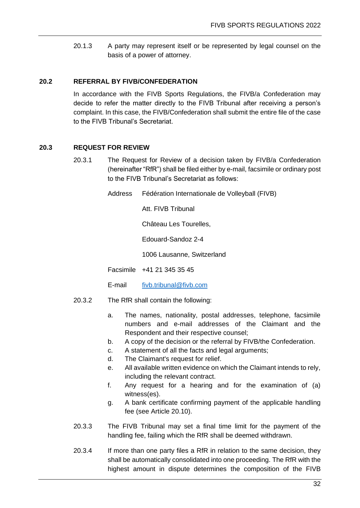20.1.3 A party may represent itself or be represented by legal counsel on the basis of a power of attorney.

#### **20.2 REFERRAL BY FIVB/CONFEDERATION**

In accordance with the FIVB Sports Regulations, the FIVB/a Confederation may decide to refer the matter directly to the FIVB Tribunal after receiving a person's complaint. In this case, the FIVB/Confederation shall submit the entire file of the case to the FIVB Tribunal's Secretariat.

#### **20.3 REQUEST FOR REVIEW**

- 20.3.1 The Request for Review of a decision taken by FIVB/a Confederation (hereinafter "RfR") shall be filed either by e-mail, facsimile or ordinary post to the FIVB Tribunal's Secretariat as follows:
	- Address Fédération Internationale de Volleyball (FIVB)

Att. FIVB Tribunal

Château Les Tourelles,

Edouard-Sandoz 2-4

1006 Lausanne, Switzerland

Facsimile +41 21 345 35 45

E-mail [fivb.tribunal@fivb.com](mailto:fivb.tribunal@fivb.com)

- 20.3.2 The RfR shall contain the following:
	- a. The names, nationality, postal addresses, telephone, facsimile numbers and e-mail addresses of the Claimant and the Respondent and their respective counsel;
	- b. A copy of the decision or the referral by FIVB/the Confederation.
	- c. A statement of all the facts and legal arguments;
	- d. The Claimant's request for relief.
	- e. All available written evidence on which the Claimant intends to rely, including the relevant contract.
	- f. Any request for a hearing and for the examination of (a) witness(es).
	- g. A bank certificate confirming payment of the applicable handling fee (see Article 20.10).
- 20.3.3 The FIVB Tribunal may set a final time limit for the payment of the handling fee, failing which the RfR shall be deemed withdrawn.
- 20.3.4 If more than one party files a RfR in relation to the same decision, they shall be automatically consolidated into one proceeding. The RfR with the highest amount in dispute determines the composition of the FIVB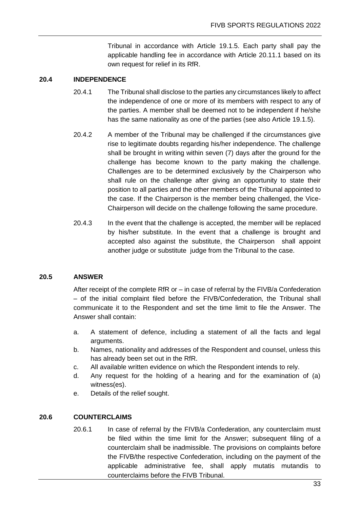Tribunal in accordance with Article 19.1.5. Each party shall pay the applicable handling fee in accordance with Article 20.11.1 based on its own request for relief in its RfR.

#### **20.4 INDEPENDENCE**

- 20.4.1 The Tribunal shall disclose to the parties any circumstances likely to affect the independence of one or more of its members with respect to any of the parties. A member shall be deemed not to be independent if he/she has the same nationality as one of the parties (see also Article 19.1.5).
- 20.4.2 A member of the Tribunal may be challenged if the circumstances give rise to legitimate doubts regarding his/her independence. The challenge shall be brought in writing within seven (7) days after the ground for the challenge has become known to the party making the challenge. Challenges are to be determined exclusively by the Chairperson who shall rule on the challenge after giving an opportunity to state their position to all parties and the other members of the Tribunal appointed to the case. If the Chairperson is the member being challenged, the Vice-Chairperson will decide on the challenge following the same procedure.
- 20.4.3 In the event that the challenge is accepted, the member will be replaced by his/her substitute. In the event that a challenge is brought and accepted also against the substitute, the Chairperson shall appoint another judge or substitute judge from the Tribunal to the case.

#### **20.5 ANSWER**

After receipt of the complete RfR or – in case of referral by the FIVB/a Confederation – of the initial complaint filed before the FIVB/Confederation, the Tribunal shall communicate it to the Respondent and set the time limit to file the Answer. The Answer shall contain:

- a. A statement of defence, including a statement of all the facts and legal arguments.
- b. Names, nationality and addresses of the Respondent and counsel, unless this has already been set out in the RfR.
- c. All available written evidence on which the Respondent intends to rely.
- d. Any request for the holding of a hearing and for the examination of (a) witness(es).
- e. Details of the relief sought.

#### **20.6 COUNTERCLAIMS**

20.6.1 In case of referral by the FIVB/a Confederation, any counterclaim must be filed within the time limit for the Answer; subsequent filing of a counterclaim shall be inadmissible. The provisions on complaints before the FIVB/the respective Confederation, including on the payment of the applicable administrative fee, shall apply mutatis mutandis to counterclaims before the FIVB Tribunal.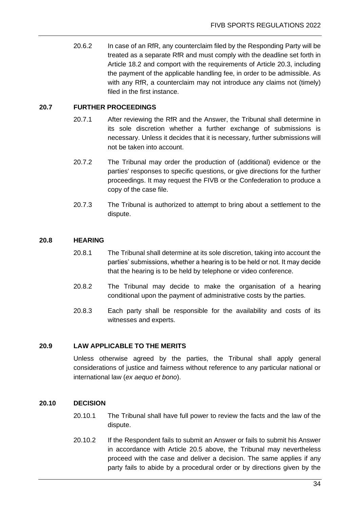20.6.2 In case of an RfR, any counterclaim filed by the Responding Party will be treated as a separate RfR and must comply with the deadline set forth in Article 18.2 and comport with the requirements of Article 20.3, including the payment of the applicable handling fee, in order to be admissible. As with any RfR, a counterclaim may not introduce any claims not (timely) filed in the first instance.

#### **20.7 FURTHER PROCEEDINGS**

- 20.7.1 After reviewing the RfR and the Answer, the Tribunal shall determine in its sole discretion whether a further exchange of submissions is necessary. Unless it decides that it is necessary, further submissions will not be taken into account.
- 20.7.2 The Tribunal may order the production of (additional) evidence or the parties' responses to specific questions, or give directions for the further proceedings. It may request the FIVB or the Confederation to produce a copy of the case file.
- 20.7.3 The Tribunal is authorized to attempt to bring about a settlement to the dispute.

#### **20.8 HEARING**

- 20.8.1 The Tribunal shall determine at its sole discretion, taking into account the parties' submissions, whether a hearing is to be held or not. It may decide that the hearing is to be held by telephone or video conference.
- 20.8.2 The Tribunal may decide to make the organisation of a hearing conditional upon the payment of administrative costs by the parties.
- 20.8.3 Each party shall be responsible for the availability and costs of its witnesses and experts.

#### **20.9 LAW APPLICABLE TO THE MERITS**

Unless otherwise agreed by the parties, the Tribunal shall apply general considerations of justice and fairness without reference to any particular national or international law (*ex aequo et bono*).

#### **20.10 DECISION**

- 20.10.1 The Tribunal shall have full power to review the facts and the law of the dispute.
- 20.10.2 If the Respondent fails to submit an Answer or fails to submit his Answer in accordance with Article 20.5 above, the Tribunal may nevertheless proceed with the case and deliver a decision. The same applies if any party fails to abide by a procedural order or by directions given by the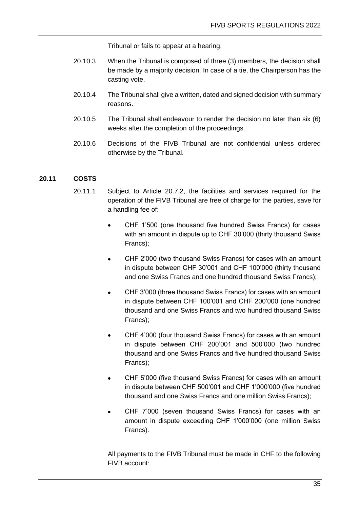Tribunal or fails to appear at a hearing.

- 20.10.3 When the Tribunal is composed of three (3) members, the decision shall be made by a majority decision. In case of a tie, the Chairperson has the casting vote.
- 20.10.4 The Tribunal shall give a written, dated and signed decision with summary reasons.
- 20.10.5 The Tribunal shall endeavour to render the decision no later than six (6) weeks after the completion of the proceedings.
- 20.10.6 Decisions of the FIVB Tribunal are not confidential unless ordered otherwise by the Tribunal.

#### **20.11 COSTS**

- 20.11.1 Subject to Article 20.7.2, the facilities and services required for the operation of the FIVB Tribunal are free of charge for the parties, save for a handling fee of:
	- CHF 1'500 (one thousand five hundred Swiss Francs) for cases with an amount in dispute up to CHF 30'000 (thirty thousand Swiss Francs);
	- CHF 2'000 (two thousand Swiss Francs) for cases with an amount in dispute between CHF 30'001 and CHF 100'000 (thirty thousand and one Swiss Francs and one hundred thousand Swiss Francs);
	- CHF 3'000 (three thousand Swiss Francs) for cases with an amount in dispute between CHF 100'001 and CHF 200'000 (one hundred thousand and one Swiss Francs and two hundred thousand Swiss Francs);
	- CHF 4'000 (four thousand Swiss Francs) for cases with an amount in dispute between CHF 200'001 and 500'000 (two hundred thousand and one Swiss Francs and five hundred thousand Swiss Francs);
	- CHF 5'000 (five thousand Swiss Francs) for cases with an amount in dispute between CHF 500'001 and CHF 1'000'000 (five hundred thousand and one Swiss Francs and one million Swiss Francs);
	- CHF 7'000 (seven thousand Swiss Francs) for cases with an amount in dispute exceeding CHF 1'000'000 (one million Swiss Francs).

All payments to the FIVB Tribunal must be made in CHF to the following FIVB account: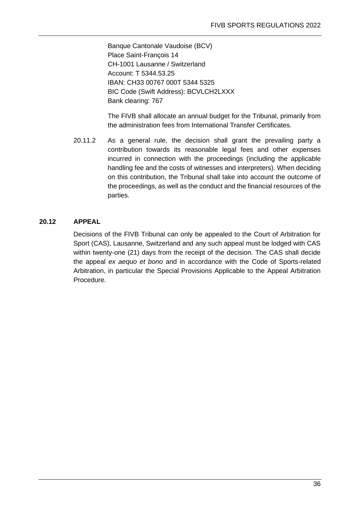Banque Cantonale Vaudoise (BCV) Place Saint-François 14 CH-1001 Lausanne / Switzerland Account: T 5344.53.25 IBAN: CH33 00767 000T 5344 5325 BIC Code (Swift Address): BCVLCH2LXXX Bank clearing: 767

The FIVB shall allocate an annual budget for the Tribunal, primarily from the administration fees from International Transfer Certificates.

20.11.2 As a general rule, the decision shall grant the prevailing party a contribution towards its reasonable legal fees and other expenses incurred in connection with the proceedings (including the applicable handling fee and the costs of witnesses and interpreters). When deciding on this contribution, the Tribunal shall take into account the outcome of the proceedings, as well as the conduct and the financial resources of the parties.

#### **20.12 APPEAL**

Decisions of the FIVB Tribunal can only be appealed to the Court of Arbitration for Sport (CAS), Lausanne, Switzerland and any such appeal must be lodged with CAS within twenty-one (21) days from the receipt of the decision. The CAS shall decide the appeal *ex aequo et bono* and in accordance with the Code of Sports-related Arbitration, in particular the Special Provisions Applicable to the Appeal Arbitration Procedure.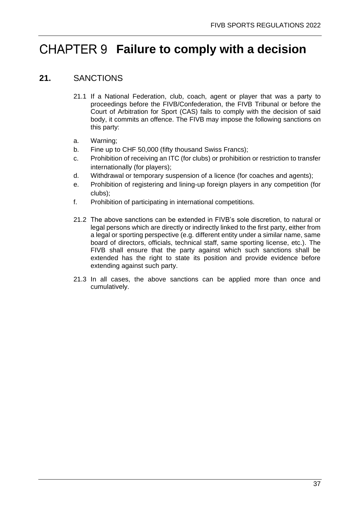## <span id="page-39-0"></span>**CHAPTER 9 Failure to comply with a decision**

### <span id="page-39-1"></span>**21.** SANCTIONS

- 21.1 If a National Federation, club, coach, agent or player that was a party to proceedings before the FIVB/Confederation, the FIVB Tribunal or before the Court of Arbitration for Sport (CAS) fails to comply with the decision of said body, it commits an offence. The FIVB may impose the following sanctions on this party:
- a. Warning;
- b. Fine up to CHF 50,000 (fifty thousand Swiss Francs);
- c. Prohibition of receiving an ITC (for clubs) or prohibition or restriction to transfer internationally (for players);
- d. Withdrawal or temporary suspension of a licence (for coaches and agents);
- e. Prohibition of registering and lining-up foreign players in any competition (for clubs);
- f. Prohibition of participating in international competitions.
- 21.2 The above sanctions can be extended in FIVB's sole discretion, to natural or legal persons which are directly or indirectly linked to the first party, either from a legal or sporting perspective (e.g. different entity under a similar name, same board of directors, officials, technical staff, same sporting license, etc.). The FIVB shall ensure that the party against which such sanctions shall be extended has the right to state its position and provide evidence before extending against such party.
- 21.3 In all cases, the above sanctions can be applied more than once and cumulatively.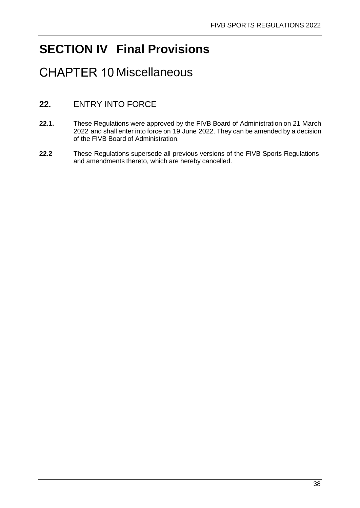## <span id="page-40-0"></span>**SECTION IV Final Provisions**

## <span id="page-40-1"></span>**CHAPTER 10 Miscellaneous**

## <span id="page-40-2"></span>**22.** ENTRY INTO FORCE

- **22.1.** These Regulations were approved by the FIVB Board of Administration on 21 March 2022 and shall enter into force on 19 June 2022. They can be amended by a decision of the FIVB Board of Administration.
- **22.2** These Regulations supersede all previous versions of the FIVB Sports Regulations and amendments thereto, which are hereby cancelled.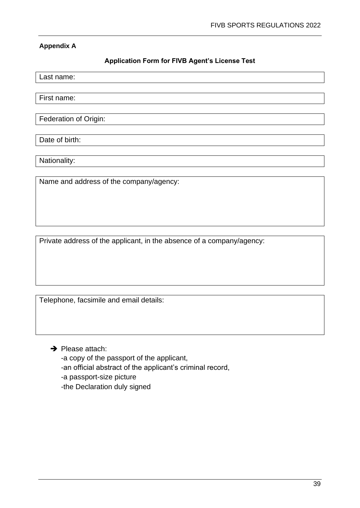#### **Appendix A**

#### **Application Form for FIVB Agent's License Test**

Last name:

First name:

Federation of Origin:

Date of birth:

Nationality:

Name and address of the company/agency:

Private address of the applicant, in the absence of a company/agency:

Telephone, facsimile and email details:

**→** Please attach:

-a copy of the passport of the applicant,

-an official abstract of the applicant's criminal record,

-a passport-size picture

-the Declaration duly signed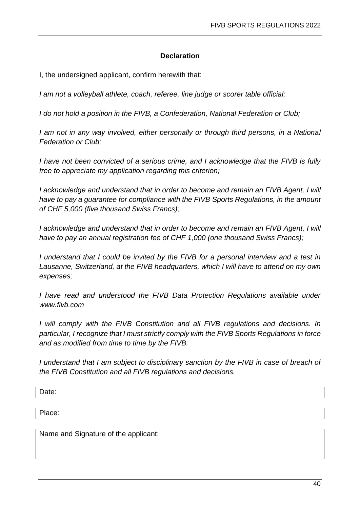#### **Declaration**

I, the undersigned applicant, confirm herewith that:

*I am not a volleyball athlete, coach, referee, line judge or scorer table official;*

*I do not hold a position in the FIVB, a Confederation, National Federation or Club;*

*I am not in any way involved, either personally or through third persons, in a National Federation or Club;*

*I have not been convicted of a serious crime, and I acknowledge that the FIVB is fully free to appreciate my application regarding this criterion;*

*I acknowledge and understand that in order to become and remain an FIVB Agent, I will have to pay a guarantee for compliance with the FIVB Sports Regulations, in the amount of CHF 5,000 (five thousand Swiss Francs);*

*I acknowledge and understand that in order to become and remain an FIVB Agent, I will have to pay an annual registration fee of CHF 1,000 (one thousand Swiss Francs);*

*I understand that I could be invited by the FIVB for a personal interview and a test in Lausanne, Switzerland, at the FIVB headquarters, which I will have to attend on my own expenses;*

*I have read and understood the FIVB Data Protection Requlations available under www.fivb.com*

*I will comply with the FIVB Constitution and all FIVB regulations and decisions. In particular, I recognize that I must strictly comply with the FIVB Sports Regulations in force and as modified from time to time by the FIVB.*

*I* understand that I am subject to disciplinary sanction by the FIVB in case of breach of *the FIVB Constitution and all FIVB regulations and decisions.* 

Date:

Place:

Name and Signature of the applicant: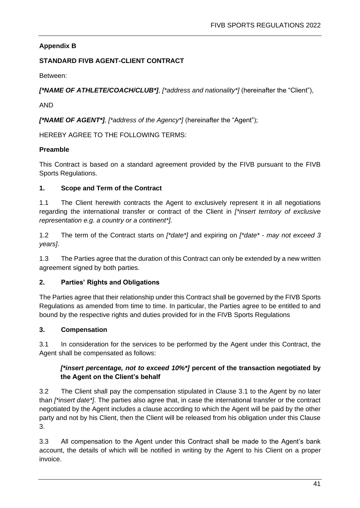### **Appendix B**

#### **STANDARD FIVB AGENT-CLIENT CONTRACT**

Between:

*[\*NAME OF ATHLETE/COACH/CLUB\*], [\*address and nationality\*]* (hereinafter the "Client"),

AND

*[\*NAME OF AGENT\*], [\*address of the Agency\*]* (hereinafter the "Agent");

HEREBY AGREE TO THE FOLLOWING TERMS:

#### **Preamble**

This Contract is based on a standard agreement provided by the FIVB pursuant to the FIVB Sports Regulations.

#### **1. Scope and Term of the Contract**

1.1 The Client herewith contracts the Agent to exclusively represent it in all negotiations regarding the international transfer or contract of the Client in *[\*insert territory of exclusive representation e.g. a country or a continent\*]*.

1.2 The term of the Contract starts on *[\*date\*]* and expiring on *[\*date\* - may not exceed 3 years]*.

1.3 The Parties agree that the duration of this Contract can only be extended by a new written agreement signed by both parties.

#### **2. Parties' Rights and Obligations**

The Parties agree that their relationship under this Contract shall be governed by the FIVB Sports Regulations as amended from time to time. In particular, the Parties agree to be entitled to and bound by the respective rights and duties provided for in the FIVB Sports Regulations

#### **3. Compensation**

3.1 In consideration for the services to be performed by the Agent under this Contract, the Agent shall be compensated as follows:

#### *[\*insert percentage, not to exceed 10%\*]* **percent of the transaction negotiated by the Agent on the Client's behalf**

3.2 The Client shall pay the compensation stipulated in Clause 3.1 to the Agent by no later than *[\*insert date\*]*. The parties also agree that, in case the international transfer or the contract negotiated by the Agent includes a clause according to which the Agent will be paid by the other party and not by his Client, then the Client will be released from his obligation under this Clause 3.

3.3 All compensation to the Agent under this Contract shall be made to the Agent's bank account, the details of which will be notified in writing by the Agent to his Client on a proper invoice.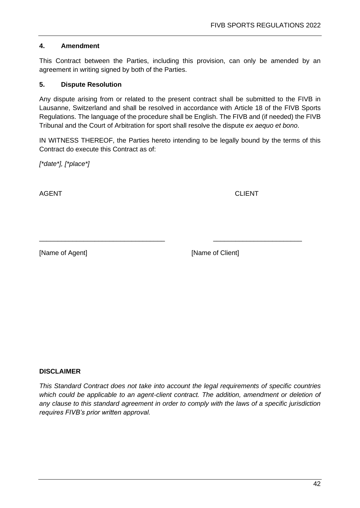#### **4. Amendment**

This Contract between the Parties, including this provision, can only be amended by an agreement in writing signed by both of the Parties.

#### **5. Dispute Resolution**

Any dispute arising from or related to the present contract shall be submitted to the FIVB in Lausanne, Switzerland and shall be resolved in accordance with Article 18 of the FIVB Sports Regulations. The language of the procedure shall be English. The FIVB and (if needed) the FIVB Tribunal and the Court of Arbitration for sport shall resolve the dispute *ex aequo et bono*.

IN WITNESS THEREOF, the Parties hereto intending to be legally bound by the terms of this Contract do execute this Contract as of:

\_\_\_\_\_\_\_\_\_\_\_\_\_\_\_\_\_\_\_\_\_\_\_\_\_\_\_\_\_\_\_\_\_\_ \_\_\_\_\_\_\_\_\_\_\_\_\_\_\_\_\_\_\_\_\_\_\_\_

*[\*date\*], [\*place\*]*

AGENT CLIENT

[Name of Agent] [Name of Client]

#### **DISCLAIMER**

*This Standard Contract does not take into account the legal requirements of specific countries*  which could be applicable to an agent-client contract. The addition, amendment or deletion of *any clause to this standard agreement in order to comply with the laws of a specific jurisdiction requires FIVB's prior written approval.*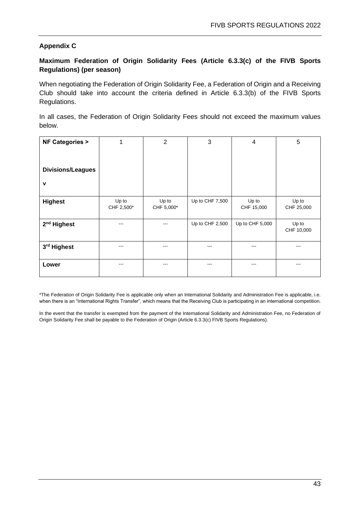#### **Appendix C**

#### **Maximum Federation of Origin Solidarity Fees (Article 6.3.3(c) of the FIVB Sports Regulations) (per season)**

When negotiating the Federation of Origin Solidarity Fee, a Federation of Origin and a Receiving Club should take into account the criteria defined in Article 6.3.3(b) of the FIVB Sports Regulations.

In all cases, the Federation of Origin Solidarity Fees should not exceed the maximum values below.

| <b>NF Categories &gt;</b> | 1                   | $\overline{2}$      | 3               | 4                   | 5                   |
|---------------------------|---------------------|---------------------|-----------------|---------------------|---------------------|
| <b>Divisions/Leagues</b>  |                     |                     |                 |                     |                     |
| $\mathbf v$               |                     |                     |                 |                     |                     |
| <b>Highest</b>            | Up to<br>CHF 2,500* | Up to<br>CHF 5,000* | Up to CHF 7,500 | Up to<br>CHF 15,000 | Up to<br>CHF 25,000 |
| 2 <sup>nd</sup> Highest   |                     |                     | Up to CHF 2,500 | Up to CHF 5,000     | Up to<br>CHF 10,000 |
| 3rd Highest               | $- - -$             | $- - -$             | ---             | $- - -$             | ---                 |
| Lower                     | ---                 | ---                 | ---             |                     |                     |

\*The Federation of Origin Solidarity Fee is applicable only when an International Solidarity and Administration Fee is applicable, i.e. when there is an "International Rights Transfer", which means that the Receiving Club is participating in an international competition.

In the event that the transfer is exempted from the payment of the International Solidarity and Administration Fee, no Federation of Origin Solidarity Fee shall be payable to the Federation of Origin (Article 6.3.3(c) FIVB Sports Regulations).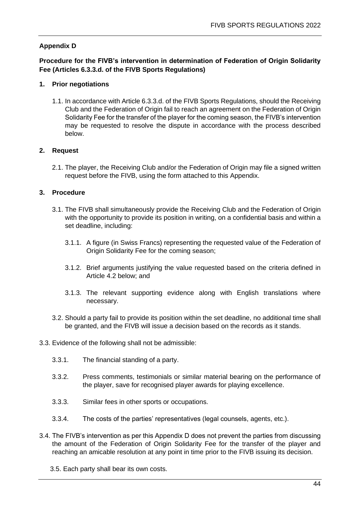#### **Appendix D**

**Procedure for the FIVB's intervention in determination of Federation of Origin Solidarity Fee (Articles 6.3.3.d. of the FIVB Sports Regulations)**

#### **1. Prior negotiations**

1.1. In accordance with Article 6.3.3.d. of the FIVB Sports Regulations, should the Receiving Club and the Federation of Origin fail to reach an agreement on the Federation of Origin Solidarity Fee for the transfer of the player for the coming season, the FIVB's intervention may be requested to resolve the dispute in accordance with the process described below.

#### **2. Request**

2.1. The player, the Receiving Club and/or the Federation of Origin may file a signed written request before the FIVB, using the form attached to this Appendix.

#### **3. Procedure**

- 3.1. The FIVB shall simultaneously provide the Receiving Club and the Federation of Origin with the opportunity to provide its position in writing, on a confidential basis and within a set deadline, including:
	- 3.1.1. A figure (in Swiss Francs) representing the requested value of the Federation of Origin Solidarity Fee for the coming season;
	- 3.1.2. Brief arguments justifying the value requested based on the criteria defined in Article 4.2 below; and
	- 3.1.3. The relevant supporting evidence along with English translations where necessary.
- 3.2. Should a party fail to provide its position within the set deadline, no additional time shall be granted, and the FIVB will issue a decision based on the records as it stands.
- 3.3. Evidence of the following shall not be admissible:
	- 3.3.1. The financial standing of a party.
	- 3.3.2. Press comments, testimonials or similar material bearing on the performance of the player, save for recognised player awards for playing excellence.
	- 3.3.3. Similar fees in other sports or occupations.
	- 3.3.4. The costs of the parties' representatives (legal counsels, agents, etc.).
- 3.4. The FIVB's intervention as per this Appendix D does not prevent the parties from discussing the amount of the Federation of Origin Solidarity Fee for the transfer of the player and reaching an amicable resolution at any point in time prior to the FIVB issuing its decision.
	- 3.5. Each party shall bear its own costs.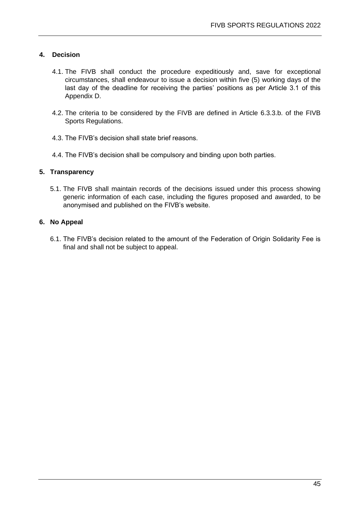#### **4. Decision**

- 4.1. The FIVB shall conduct the procedure expeditiously and, save for exceptional circumstances, shall endeavour to issue a decision within five (5) working days of the last day of the deadline for receiving the parties' positions as per Article 3.1 of this Appendix D.
- 4.2. The criteria to be considered by the FIVB are defined in Article 6.3.3.b. of the FIVB Sports Regulations.
- 4.3. The FIVB's decision shall state brief reasons.
- 4.4. The FIVB's decision shall be compulsory and binding upon both parties.

#### **5. Transparency**

5.1. The FIVB shall maintain records of the decisions issued under this process showing generic information of each case, including the figures proposed and awarded, to be anonymised and published on the FIVB's website.

#### **6. No Appeal**

6.1. The FIVB's decision related to the amount of the Federation of Origin Solidarity Fee is final and shall not be subject to appeal.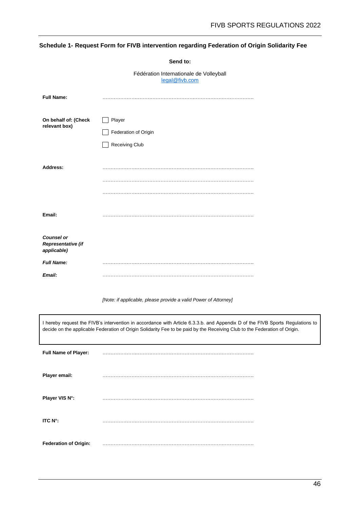#### **Schedule 1- Request Form for FIVB intervention regarding Federation of Origin Solidarity Fee**

**Send to:**

|                                                                                                                                                                                                                                                             | Fédération Internationale de Volleyball<br>legal@fivb.com       |  |  |
|-------------------------------------------------------------------------------------------------------------------------------------------------------------------------------------------------------------------------------------------------------------|-----------------------------------------------------------------|--|--|
| <b>Full Name:</b>                                                                                                                                                                                                                                           |                                                                 |  |  |
| On behalf of: (Check<br>relevant box)                                                                                                                                                                                                                       | Player                                                          |  |  |
|                                                                                                                                                                                                                                                             | Federation of Origin                                            |  |  |
|                                                                                                                                                                                                                                                             | Receiving Club                                                  |  |  |
| Address:                                                                                                                                                                                                                                                    |                                                                 |  |  |
|                                                                                                                                                                                                                                                             |                                                                 |  |  |
|                                                                                                                                                                                                                                                             |                                                                 |  |  |
| Email:                                                                                                                                                                                                                                                      |                                                                 |  |  |
| <b>Counsel or</b><br>Representative (if<br>applicable)                                                                                                                                                                                                      |                                                                 |  |  |
| <b>Full Name:</b>                                                                                                                                                                                                                                           |                                                                 |  |  |
| Email:                                                                                                                                                                                                                                                      |                                                                 |  |  |
|                                                                                                                                                                                                                                                             | [Note: if applicable, please provide a valid Power of Attorney] |  |  |
| I hereby request the FIVB's intervention in accordance with Article 6.3.3.b. and Appendix D of the FIVB Sports Regulations to<br>decide on the applicable Federation of Origin Solidarity Fee to be paid by the Receiving Club to the Federation of Origin. |                                                                 |  |  |
| Full Name of Player:                                                                                                                                                                                                                                        |                                                                 |  |  |
| Player email:                                                                                                                                                                                                                                               |                                                                 |  |  |
| Player VIS N°:                                                                                                                                                                                                                                              |                                                                 |  |  |
| ITC N°:                                                                                                                                                                                                                                                     |                                                                 |  |  |
| <b>Federation of Origin:</b>                                                                                                                                                                                                                                |                                                                 |  |  |